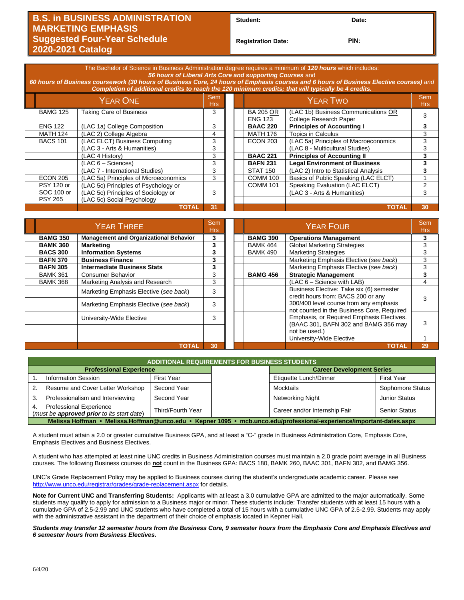## **B.S. in BUSINESS ADMINISTRATION MARKETING EMPHASIS Suggested Four-Year Schedule 2020-2021 Catalog**

Student: Date:

**Registration Date: PIN:**

| The Bachelor of Science in Business Administration degree requires a minimum of 120 hours which includes:<br>56 hours of Liberal Arts Core and supporting Courses and<br>60 hours of Business coursework (30 hours of Business Core, 24 hours of Emphasis courses and 6 hours of Business Elective courses) and<br>Completion of additional credits to reach the 120 minimum credits; that will typically be 4 credits. |                   |                                       |                |  |  |                                    |                                                               |                 |                           |   |
|-------------------------------------------------------------------------------------------------------------------------------------------------------------------------------------------------------------------------------------------------------------------------------------------------------------------------------------------------------------------------------------------------------------------------|-------------------|---------------------------------------|----------------|--|--|------------------------------------|---------------------------------------------------------------|-----------------|---------------------------|---|
|                                                                                                                                                                                                                                                                                                                                                                                                                         | <b>YEAR ONE</b>   |                                       |                |  |  | <b>YEAR TWO</b>                    |                                                               |                 |                           |   |
|                                                                                                                                                                                                                                                                                                                                                                                                                         | <b>BAMG 125</b>   | <b>Taking Care of Business</b>        | 3              |  |  | <b>BA 205 OR</b><br><b>ENG 123</b> | (LAC 1b) Business Communications OR<br>College Research Paper | 3               |                           |   |
|                                                                                                                                                                                                                                                                                                                                                                                                                         | <b>ENG 122</b>    | (LAC 1a) College Composition          | 3              |  |  | <b>BAAC 220</b>                    | <b>Principles of Accounting I</b>                             | 3               |                           |   |
|                                                                                                                                                                                                                                                                                                                                                                                                                         | <b>MATH 124</b>   | (LAC 2) College Algebra               | 4              |  |  |                                    |                                                               | <b>MATH 176</b> | <b>Topics in Calculus</b> | 3 |
|                                                                                                                                                                                                                                                                                                                                                                                                                         | <b>BACS 101</b>   | (LAC ELCT) Business Computing         | 3              |  |  | <b>ECON 203</b>                    | (LAC 5a) Principles of Macroeconomics                         | 3               |                           |   |
|                                                                                                                                                                                                                                                                                                                                                                                                                         |                   | (LAC 3 - Arts & Humanities)           | 3              |  |  |                                    | (LAC 8 - Multicultural Studies)                               | 3               |                           |   |
|                                                                                                                                                                                                                                                                                                                                                                                                                         |                   | (LAC 4 History)                       | 3              |  |  | <b>BAAC 221</b>                    | <b>Principles of Accounting II</b>                            | 3               |                           |   |
|                                                                                                                                                                                                                                                                                                                                                                                                                         |                   | (LAC 6 - Sciences)                    | 3              |  |  | <b>BAFN 231</b>                    | <b>Legal Environment of Business</b>                          |                 |                           |   |
|                                                                                                                                                                                                                                                                                                                                                                                                                         |                   | (LAC 7 - International Studies)       | 3              |  |  | <b>STAT 150</b>                    | (LAC 2) Intro to Statistical Analysis                         | 3               |                           |   |
|                                                                                                                                                                                                                                                                                                                                                                                                                         | <b>ECON 205</b>   | (LAC 5a) Principles of Microeconomics | 3              |  |  | <b>COMM 100</b>                    | Basics of Public Speaking (LAC ELCT)                          |                 |                           |   |
|                                                                                                                                                                                                                                                                                                                                                                                                                         | <b>PSY 120 or</b> | (LAC 5c) Principles of Psychology or  |                |  |  | <b>COMM 101</b>                    | Speaking Evaluation (LAC ELCT)                                |                 |                           |   |
|                                                                                                                                                                                                                                                                                                                                                                                                                         | SOC 100 or        | (LAC 5c) Principles of Sociology or   | 3              |  |  |                                    | (LAC 3 - Arts & Humanities)                                   | 3               |                           |   |
|                                                                                                                                                                                                                                                                                                                                                                                                                         | <b>PSY 265</b>    | (LAC 5c) Social Psychology            |                |  |  |                                    |                                                               |                 |                           |   |
|                                                                                                                                                                                                                                                                                                                                                                                                                         |                   | <b>TOTAL</b>                          | 3 <sub>1</sub> |  |  |                                    | <b>TOTAL</b>                                                  | 30              |                           |   |
|                                                                                                                                                                                                                                                                                                                                                                                                                         |                   |                                       |                |  |  |                                    |                                                               |                 |                           |   |

| <b>YEAR THREE</b> |                                               |    |  |                 | Sem<br>Hrs:                                                                          |    |
|-------------------|-----------------------------------------------|----|--|-----------------|--------------------------------------------------------------------------------------|----|
| <b>BAMG 350</b>   | <b>Management and Organizational Behavior</b> | 3  |  | <b>BAMG 390</b> | <b>Operations Management</b>                                                         | 3  |
| <b>BAMK 360</b>   | <b>Marketing</b>                              | 3  |  | <b>BAMK 464</b> | <b>Global Marketing Strategies</b>                                                   | 3  |
| <b>BACS 300</b>   | <b>Information Systems</b>                    | 3  |  | <b>BAMK 490</b> | <b>Marketing Strategies</b>                                                          | 3  |
| <b>BAFN 370</b>   | <b>Business Finance</b>                       | 3  |  |                 | Marketing Emphasis Elective (see back)                                               | 3  |
| <b>BAFN 305</b>   | <b>Intermediate Business Stats</b>            | 3  |  |                 | Marketing Emphasis Elective (see back)                                               | 3  |
| <b>BAMK 361</b>   | <b>Consumer Behavior</b>                      | 3  |  | <b>BAMG 456</b> | <b>Strategic Management</b>                                                          |    |
| <b>BAMK 368</b>   | Marketing Analysis and Research               | 3  |  |                 | $(LAC 6 - Science with LAB)$                                                         |    |
|                   | Marketing Emphasis Elective (see back)        | 3  |  |                 | Business Elective: Take six (6) semester<br>credit hours from: BACS 200 or any       |    |
|                   | Marketing Emphasis Elective (see back)        | 3  |  |                 | 300/400 level course from any emphasis<br>not counted in the Business Core, Required |    |
|                   | University-Wide Elective                      | 3  |  |                 | Emphasis, or Required Emphasis Electives.<br>(BAAC 301, BAFN 302 and BAMG 356 may    | 3  |
|                   |                                               |    |  |                 | not be used.)                                                                        |    |
|                   |                                               |    |  |                 | University-Wide Elective                                                             |    |
|                   | TOTAL                                         | 30 |  |                 | <b>TOTAL</b>                                                                         | 29 |

| <b>ADDITIONAL REQUIREMENTS FOR BUSINESS STUDENTS</b>                                                                 |                                                                       |                   |                  |                                  |                      |  |  |  |
|----------------------------------------------------------------------------------------------------------------------|-----------------------------------------------------------------------|-------------------|------------------|----------------------------------|----------------------|--|--|--|
|                                                                                                                      | <b>Professional Experience</b>                                        |                   |                  | <b>Career Development Series</b> |                      |  |  |  |
|                                                                                                                      | <b>Information Session</b>                                            | First Year        |                  | Etiquette Lunch/Dinner           | <b>First Year</b>    |  |  |  |
| Resume and Cover Letter Workshop<br>Second Year                                                                      |                                                                       |                   | Mocktails        | Sophomore Status                 |                      |  |  |  |
| Professionalism and Interviewing<br>Second Year<br>3.                                                                |                                                                       |                   | Networking Night | <b>Junior Status</b>             |                      |  |  |  |
|                                                                                                                      | Professional Experience<br>(must be approved prior to its start date) | Third/Fourth Year |                  | Career and/or Internship Fair    | <b>Senior Status</b> |  |  |  |
| Melissa Hoffman • Melissa.Hoffman@unco.edu • Kepner 1095 • mcb.unco.edu/professional-experience/important-dates.aspx |                                                                       |                   |                  |                                  |                      |  |  |  |

A student must attain a 2.0 or greater cumulative Business GPA, and at least a "C-" grade in Business Administration Core, Emphasis Core, Emphasis Electives and Business Electives.

A student who has attempted at least nine UNC credits in Business Administration courses must maintain a 2.0 grade point average in all Business courses. The following Business courses do **not** count in the Business GPA: BACS 180, BAMK 260, BAAC 301, BAFN 302, and BAMG 356.

UNC's Grade Replacement Policy may be applied to Business courses during the student's undergraduate academic career. Please see <http://www.unco.edu/registrar/grades/grade-replacement.aspx> for details.

**Note for Current UNC and Transferring Students:** Applicants with at least a 3.0 cumulative GPA are admitted to the major automatically. Some students may qualify to apply for admission to a Business major or minor. These students include: Transfer students with at least 15 hours with a cumulative GPA of 2.5-2.99 and UNC students who have completed a total of 15 hours with a cumulative UNC GPA of 2.5-2.99. Students may apply with the administrative assistant in the department of their choice of emphasis located in Kepner Hall.

*Students may transfer 12 semester hours from the Business Core, 9 semester hours from the Emphasis Core and Emphasis Electives and 6 semester hours from Business Electives.*